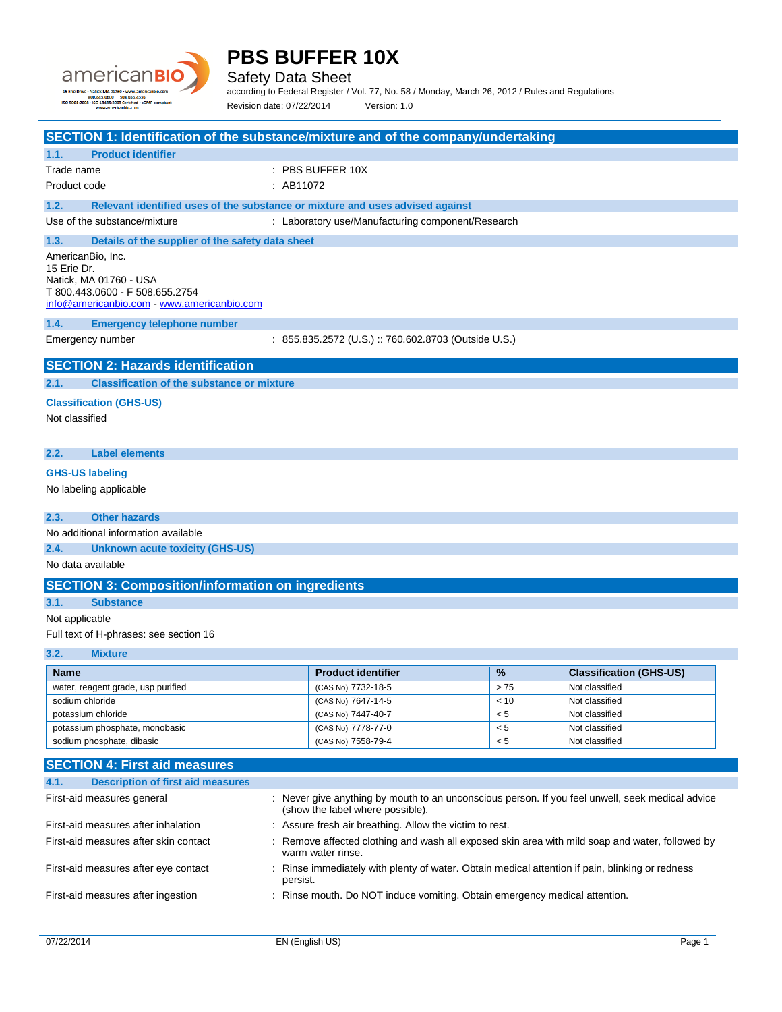

Safety Data Sheet

according to Federal Register / Vol. 77, No. 58 / Monday, March 26, 2012 / Rules and Regulations Revision date: 07/22/2014 Version: 1.0

| SECTION 1: Identification of the substance/mixture and of the company/undertaking                                                                                                                                                                                                                                                                                                            |                                                                               |         |                                |
|----------------------------------------------------------------------------------------------------------------------------------------------------------------------------------------------------------------------------------------------------------------------------------------------------------------------------------------------------------------------------------------------|-------------------------------------------------------------------------------|---------|--------------------------------|
| 1.1.<br><b>Product identifier</b>                                                                                                                                                                                                                                                                                                                                                            |                                                                               |         |                                |
| Trade name                                                                                                                                                                                                                                                                                                                                                                                   | $:$ PBS BUFFER 10X                                                            |         |                                |
| Product code                                                                                                                                                                                                                                                                                                                                                                                 | : AB11072                                                                     |         |                                |
| 1.2.                                                                                                                                                                                                                                                                                                                                                                                         | Relevant identified uses of the substance or mixture and uses advised against |         |                                |
| Use of the substance/mixture                                                                                                                                                                                                                                                                                                                                                                 | : Laboratory use/Manufacturing component/Research                             |         |                                |
| Details of the supplier of the safety data sheet<br>1.3.                                                                                                                                                                                                                                                                                                                                     |                                                                               |         |                                |
| AmericanBio, Inc.<br>15 Erie Dr.<br>Natick, MA 01760 - USA<br>T 800.443.0600 - F 508.655.2754<br>info@americanbio.com www.americanbio.com                                                                                                                                                                                                                                                    |                                                                               |         |                                |
| 1.4.<br><b>Emergency telephone number</b>                                                                                                                                                                                                                                                                                                                                                    |                                                                               |         |                                |
| Emergency number                                                                                                                                                                                                                                                                                                                                                                             | : 855.835.2572 (U.S.) :: 760.602.8703 (Outside U.S.)                          |         |                                |
| <b>SECTION 2: Hazards identification</b><br><b>Classification of the substance or mixture</b><br>2.1.<br><b>Classification (GHS-US)</b><br>Not classified<br>2.2.<br><b>Label elements</b><br><b>GHS-US labeling</b><br>No labeling applicable<br>2.3.<br><b>Other hazards</b><br>No additional information available<br>2.4.<br><b>Unknown acute toxicity (GHS-US)</b><br>No data available |                                                                               |         |                                |
| <b>SECTION 3: Composition/information on ingredients</b>                                                                                                                                                                                                                                                                                                                                     |                                                                               |         |                                |
| 3.1.<br><b>Substance</b>                                                                                                                                                                                                                                                                                                                                                                     |                                                                               |         |                                |
| Not applicable                                                                                                                                                                                                                                                                                                                                                                               |                                                                               |         |                                |
| Full text of H-phrases: see section 16                                                                                                                                                                                                                                                                                                                                                       |                                                                               |         |                                |
| 3.2.<br><b>Mixture</b>                                                                                                                                                                                                                                                                                                                                                                       |                                                                               |         |                                |
| <b>Name</b>                                                                                                                                                                                                                                                                                                                                                                                  | <b>Product identifier</b>                                                     | %       | <b>Classification (GHS-US)</b> |
| water, reagent grade, usp purified                                                                                                                                                                                                                                                                                                                                                           | (CAS No) 7732-18-5                                                            | >75     | Not classified                 |
| sodium chloride                                                                                                                                                                                                                                                                                                                                                                              | (CAS No) 7647-14-5                                                            | < 10    | Not classified                 |
| potassium chloride                                                                                                                                                                                                                                                                                                                                                                           | (CAS No) 7447-40-7                                                            | $< 5\,$ | Not classified                 |
| $< 5\,$<br>potassium phosphate, monobasic<br>(CAS No) 7778-77-0<br>Not classified                                                                                                                                                                                                                                                                                                            |                                                                               |         |                                |
| sodium phosphate, dibasic                                                                                                                                                                                                                                                                                                                                                                    | (CAS No) 7558-79-4                                                            | $< 5\,$ | Not classified                 |
| <b>SECTION 4: First aid measures</b><br>4.1.<br><b>Description of first aid measures</b>                                                                                                                                                                                                                                                                                                     |                                                                               |         |                                |

| 4.1. | <b>Description of first aid measures</b> |                                                                                                                                      |
|------|------------------------------------------|--------------------------------------------------------------------------------------------------------------------------------------|
|      | First-aid measures general               | : Never give anything by mouth to an unconscious person. If you feel unwell, seek medical advice<br>(show the label where possible). |
|      | First-aid measures after inhalation      | : Assure fresh air breathing. Allow the victim to rest.                                                                              |
|      | First-aid measures after skin contact    | : Remove affected clothing and wash all exposed skin area with mild soap and water, followed by<br>warm water rinse.                 |
|      | First-aid measures after eye contact     | : Rinse immediately with plenty of water. Obtain medical attention if pain, blinking or redness<br>persist.                          |
|      | First-aid measures after ingestion       | : Rinse mouth. Do NOT induce vomiting. Obtain emergency medical attention.                                                           |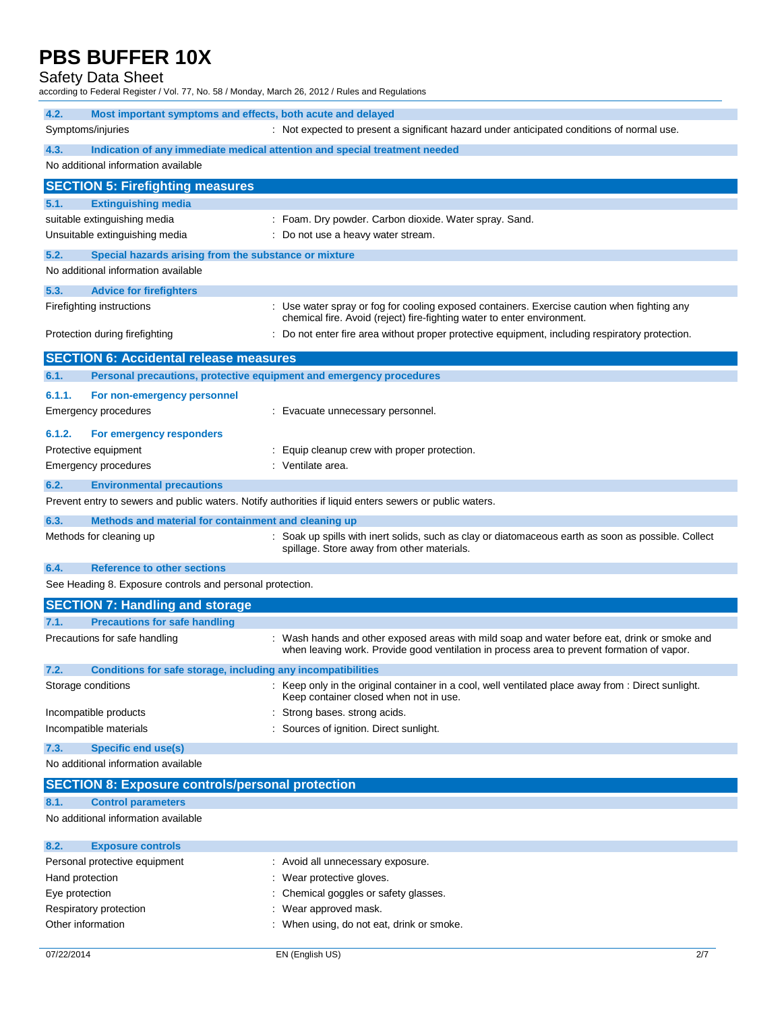### Safety Data Sheet

according to Federal Register / Vol. 77, No. 58 / Monday, March 26, 2012 / Rules and Regulations

| 4.2.            | Most important symptoms and effects, both acute and delayed         |                                                                                                                                                                        |
|-----------------|---------------------------------------------------------------------|------------------------------------------------------------------------------------------------------------------------------------------------------------------------|
|                 | Symptoms/injuries                                                   | : Not expected to present a significant hazard under anticipated conditions of normal use.                                                                             |
| 4.3.            |                                                                     | Indication of any immediate medical attention and special treatment needed                                                                                             |
|                 | No additional information available                                 |                                                                                                                                                                        |
|                 | <b>SECTION 5: Firefighting measures</b>                             |                                                                                                                                                                        |
| 5.1.            | <b>Extinguishing media</b>                                          |                                                                                                                                                                        |
|                 | suitable extinguishing media                                        | : Foam. Dry powder. Carbon dioxide. Water spray. Sand.                                                                                                                 |
|                 | Unsuitable extinguishing media                                      | : Do not use a heavy water stream.                                                                                                                                     |
| 5.2.            | Special hazards arising from the substance or mixture               |                                                                                                                                                                        |
|                 | No additional information available                                 |                                                                                                                                                                        |
|                 |                                                                     |                                                                                                                                                                        |
| 5.3.            | <b>Advice for firefighters</b>                                      |                                                                                                                                                                        |
|                 | Firefighting instructions                                           | : Use water spray or fog for cooling exposed containers. Exercise caution when fighting any<br>chemical fire. Avoid (reject) fire-fighting water to enter environment. |
|                 | Protection during firefighting                                      | Do not enter fire area without proper protective equipment, including respiratory protection.                                                                          |
|                 |                                                                     |                                                                                                                                                                        |
|                 | <b>SECTION 6: Accidental release measures</b>                       |                                                                                                                                                                        |
| 6.1.            | Personal precautions, protective equipment and emergency procedures |                                                                                                                                                                        |
| 6.1.1.          | For non-emergency personnel                                         |                                                                                                                                                                        |
|                 | Emergency procedures                                                | : Evacuate unnecessary personnel.                                                                                                                                      |
| 6.1.2.          | For emergency responders                                            |                                                                                                                                                                        |
|                 | Protective equipment                                                | : Equip cleanup crew with proper protection.                                                                                                                           |
|                 | <b>Emergency procedures</b>                                         | : Ventilate area.                                                                                                                                                      |
| 6.2.            | <b>Environmental precautions</b>                                    |                                                                                                                                                                        |
|                 |                                                                     | Prevent entry to sewers and public waters. Notify authorities if liquid enters sewers or public waters.                                                                |
| 6.3.            | Methods and material for containment and cleaning up                |                                                                                                                                                                        |
|                 | Methods for cleaning up                                             | : Soak up spills with inert solids, such as clay or diatomaceous earth as soon as possible. Collect                                                                    |
|                 |                                                                     | spillage. Store away from other materials.                                                                                                                             |
| 6.4.            | <b>Reference to other sections</b>                                  |                                                                                                                                                                        |
|                 | See Heading 8. Exposure controls and personal protection.           |                                                                                                                                                                        |
|                 | <b>SECTION 7: Handling and storage</b>                              |                                                                                                                                                                        |
| 7.1.            | <b>Precautions for safe handling</b>                                |                                                                                                                                                                        |
|                 | Precautions for safe handling                                       | : Wash hands and other exposed areas with mild soap and water before eat, drink or smoke and                                                                           |
|                 |                                                                     | when leaving work. Provide good ventilation in process area to prevent formation of vapor.                                                                             |
| 7.2.            | Conditions for safe storage, including any incompatibilities        |                                                                                                                                                                        |
|                 | Storage conditions                                                  | : Keep only in the original container in a cool, well ventilated place away from : Direct sunlight.                                                                    |
|                 |                                                                     | Keep container closed when not in use.                                                                                                                                 |
|                 | Incompatible products                                               | Strong bases. strong acids.                                                                                                                                            |
|                 | Incompatible materials                                              | : Sources of ignition. Direct sunlight.                                                                                                                                |
| 7.3.            | <b>Specific end use(s)</b>                                          |                                                                                                                                                                        |
|                 | No additional information available                                 |                                                                                                                                                                        |
|                 | <b>SECTION 8: Exposure controls/personal protection</b>             |                                                                                                                                                                        |
| 8.1.            | <b>Control parameters</b>                                           |                                                                                                                                                                        |
|                 | No additional information available                                 |                                                                                                                                                                        |
|                 |                                                                     |                                                                                                                                                                        |
| 8.2.            | <b>Exposure controls</b>                                            |                                                                                                                                                                        |
|                 | Personal protective equipment                                       | : Avoid all unnecessary exposure.                                                                                                                                      |
| Hand protection |                                                                     | : Wear protective gloves.                                                                                                                                              |
| Eye protection  |                                                                     | : Chemical goggles or safety glasses.                                                                                                                                  |

- Respiratory protection **contact and the Separatory Protection** contact the Separatory of the Respiratory of the R
- Other information **Calcular Contract Contract Contract Contract Contract Contract Contract Contract Contract Contract Contract Contract Contract Contract Contract Contract Contract Contract Contract Contract Contract Contr**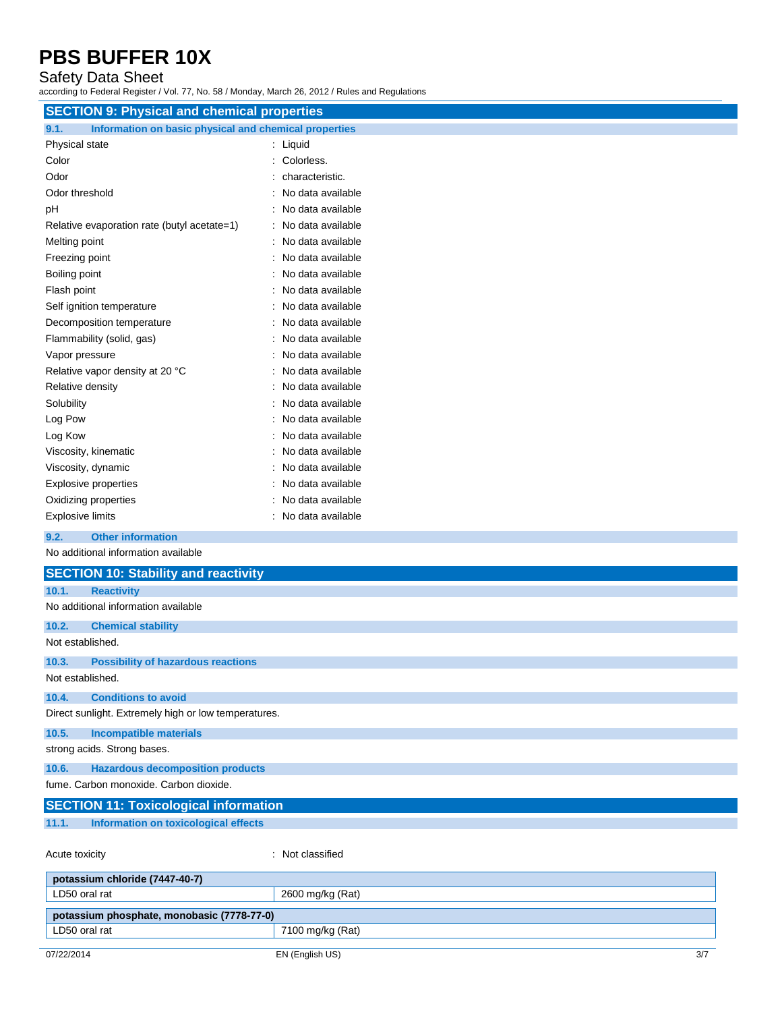### Safety Data Sheet

according to Federal Register / Vol. 77, No. 58 / Monday, March 26, 2012 / Rules and Regulations

| <b>SECTION 9: Physical and chemical properties</b>            |                     |  |
|---------------------------------------------------------------|---------------------|--|
| 9.1.<br>Information on basic physical and chemical properties |                     |  |
| Physical state                                                | : Liquid            |  |
| Color                                                         | : Colorless.        |  |
| Odor                                                          | characteristic.     |  |
| Odor threshold                                                | No data available   |  |
| pH                                                            | No data available   |  |
| Relative evaporation rate (butyl acetate=1)                   | : No data available |  |
| Melting point                                                 | : No data available |  |
| Freezing point                                                | : No data available |  |
| Boiling point                                                 | No data available   |  |
| Flash point                                                   | No data available   |  |
| Self ignition temperature                                     | : No data available |  |
| Decomposition temperature                                     | : No data available |  |
| Flammability (solid, gas)                                     | No data available   |  |
| Vapor pressure                                                | No data available   |  |
| Relative vapor density at 20 °C                               | : No data available |  |
| Relative density                                              | : No data available |  |
| Solubility                                                    | : No data available |  |
| Log Pow                                                       | No data available   |  |
| Log Kow                                                       | : No data available |  |
| Viscosity, kinematic                                          | No data available   |  |
| Viscosity, dynamic                                            | No data available   |  |
| Explosive properties                                          | No data available   |  |
| Oxidizing properties                                          | No data available   |  |
| <b>Explosive limits</b>                                       | No data available   |  |
| <b>Other information</b><br>9.2.                              |                     |  |
| No additional information available                           |                     |  |
| <b>SECTION 10: Stability and reactivity</b>                   |                     |  |
| 10.1.<br><b>Reactivity</b>                                    |                     |  |
| No additional information available                           |                     |  |
| 10.2.<br><b>Chemical stability</b>                            |                     |  |
| Not established.                                              |                     |  |
| 10.3.<br><b>Possibility of hazardous reactions</b>            |                     |  |
| Not established.                                              |                     |  |
| 10.4.<br><b>Conditions to avoid</b>                           |                     |  |
| Direct sunlight. Extremely high or low temperatures.          |                     |  |
| 10.5.<br><b>Incompatible materials</b>                        |                     |  |
| strong acids. Strong bases.                                   |                     |  |
| <b>Hazardous decomposition products</b><br>10.6.              |                     |  |
| fume. Carbon monoxide. Carbon dioxide.                        |                     |  |

| <b>SECTION 11: Toxicological information</b> |                                      |                  |
|----------------------------------------------|--------------------------------------|------------------|
| 11.1.                                        | Information on toxicological effects |                  |
| Acute toxicity                               |                                      | : Not classified |

| potassium chloride (7447-40-7)             |                  |     |
|--------------------------------------------|------------------|-----|
| LD50 oral rat                              | 2600 mg/kg (Rat) |     |
| potassium phosphate, monobasic (7778-77-0) |                  |     |
| LD50 oral rat                              | 7100 mg/kg (Rat) |     |
|                                            |                  |     |
| 07/22/2014                                 | EN (English US)  | 3/7 |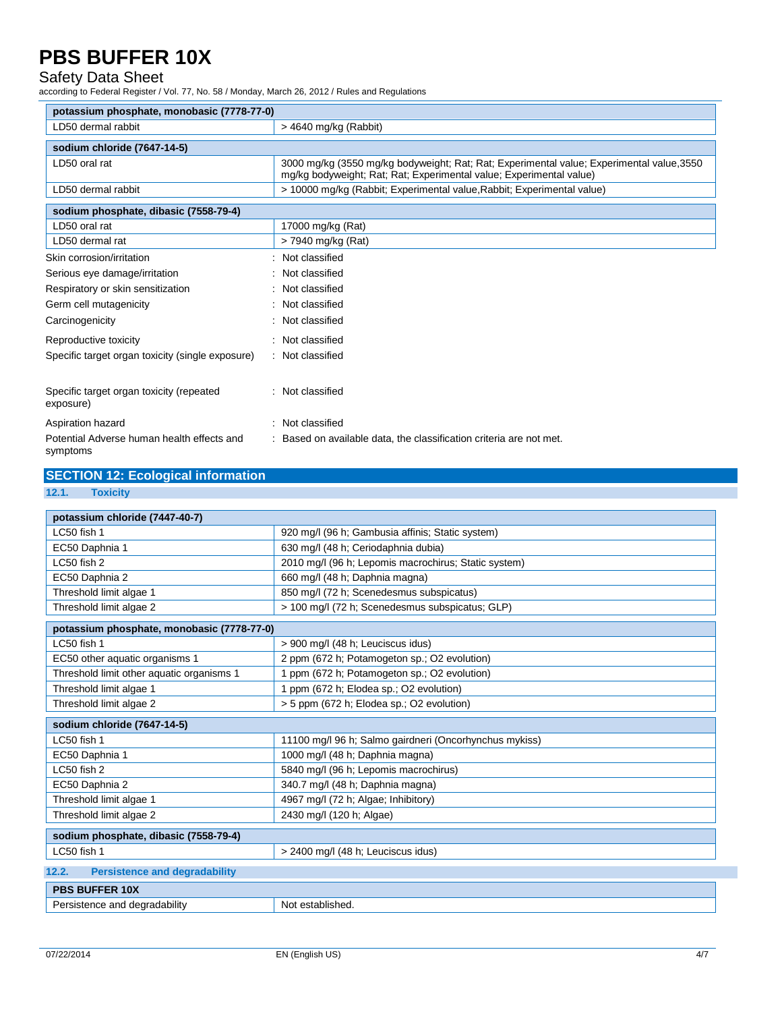#### Safety Data Sheet

according to Federal Register / Vol. 77, No. 58 / Monday, March 26, 2012 / Rules and Regulations

| potassium phosphate, monobasic (7778-77-0)             |                                                                                                                                                                  |  |
|--------------------------------------------------------|------------------------------------------------------------------------------------------------------------------------------------------------------------------|--|
| LD50 dermal rabbit                                     | $>$ 4640 mg/kg (Rabbit)                                                                                                                                          |  |
| sodium chloride (7647-14-5)                            |                                                                                                                                                                  |  |
| LD50 oral rat                                          | 3000 mg/kg (3550 mg/kg bodyweight; Rat; Rat; Experimental value; Experimental value, 3550<br>mg/kg bodyweight; Rat; Rat; Experimental value; Experimental value) |  |
| LD50 dermal rabbit                                     | > 10000 mg/kg (Rabbit; Experimental value, Rabbit; Experimental value)                                                                                           |  |
| sodium phosphate, dibasic (7558-79-4)                  |                                                                                                                                                                  |  |
| LD50 oral rat                                          | 17000 mg/kg (Rat)                                                                                                                                                |  |
| LD50 dermal rat                                        | > 7940 mg/kg (Rat)                                                                                                                                               |  |
| Skin corrosion/irritation                              | Not classified                                                                                                                                                   |  |
| Serious eye damage/irritation                          | Not classified                                                                                                                                                   |  |
| Respiratory or skin sensitization                      | Not classified                                                                                                                                                   |  |
| Germ cell mutagenicity                                 | Not classified                                                                                                                                                   |  |
| Carcinogenicity                                        | Not classified                                                                                                                                                   |  |
| Reproductive toxicity                                  | Not classified                                                                                                                                                   |  |
| Specific target organ toxicity (single exposure)       | Not classified                                                                                                                                                   |  |
| Specific target organ toxicity (repeated<br>exposure)  | Not classified                                                                                                                                                   |  |
| Aspiration hazard                                      | Not classified                                                                                                                                                   |  |
| Potential Adverse human health effects and<br>symptoms | Based on available data, the classification criteria are not met.                                                                                                |  |

|       | <b>SECTION 12: Ecological information</b>               |  |  |
|-------|---------------------------------------------------------|--|--|
| 12.1. | <b>Toxicity</b>                                         |  |  |
|       | $m = 1 - m$ ; $m = 1 - 1 - m$ ; $m = 1 + 1 - 1 - 1 - 1$ |  |  |

| potassium chloride (7447-40-7)                |                                                        |  |
|-----------------------------------------------|--------------------------------------------------------|--|
| LC50 fish 1                                   | 920 mg/l (96 h; Gambusia affinis; Static system)       |  |
| EC50 Daphnia 1                                | 630 mg/l (48 h; Ceriodaphnia dubia)                    |  |
| LC50 fish 2                                   | 2010 mg/l (96 h; Lepomis macrochirus; Static system)   |  |
| EC50 Daphnia 2                                | 660 mg/l (48 h; Daphnia magna)                         |  |
| Threshold limit algae 1                       | 850 mg/l (72 h; Scenedesmus subspicatus)               |  |
| Threshold limit algae 2                       | > 100 mg/l (72 h; Scenedesmus subspicatus; GLP)        |  |
| potassium phosphate, monobasic (7778-77-0)    |                                                        |  |
| LC50 fish 1                                   | > 900 mg/l (48 h; Leuciscus idus)                      |  |
| EC50 other aquatic organisms 1                | 2 ppm (672 h; Potamogeton sp.; O2 evolution)           |  |
| Threshold limit other aquatic organisms 1     | 1 ppm (672 h; Potamogeton sp.; O2 evolution)           |  |
| Threshold limit algae 1                       | 1 ppm (672 h; Elodea sp.; O2 evolution)                |  |
| Threshold limit algae 2                       | > 5 ppm (672 h; Elodea sp.; O2 evolution)              |  |
| sodium chloride (7647-14-5)                   |                                                        |  |
| LC50 fish 1                                   | 11100 mg/l 96 h; Salmo gairdneri (Oncorhynchus mykiss) |  |
| EC50 Daphnia 1                                | 1000 mg/l (48 h; Daphnia magna)                        |  |
|                                               |                                                        |  |
| LC50 fish 2                                   | 5840 mg/l (96 h; Lepomis macrochirus)                  |  |
| EC50 Daphnia 2                                | 340.7 mg/l (48 h; Daphnia magna)                       |  |
| Threshold limit algae 1                       | 4967 mg/l (72 h; Algae; Inhibitory)                    |  |
| Threshold limit algae 2                       | 2430 mg/l (120 h; Algae)                               |  |
| sodium phosphate, dibasic (7558-79-4)         |                                                        |  |
| LC50 fish 1                                   | > 2400 mg/l (48 h; Leuciscus idus)                     |  |
| 12.2.<br><b>Persistence and degradability</b> |                                                        |  |
| <b>PBS BUFFER 10X</b>                         |                                                        |  |

÷,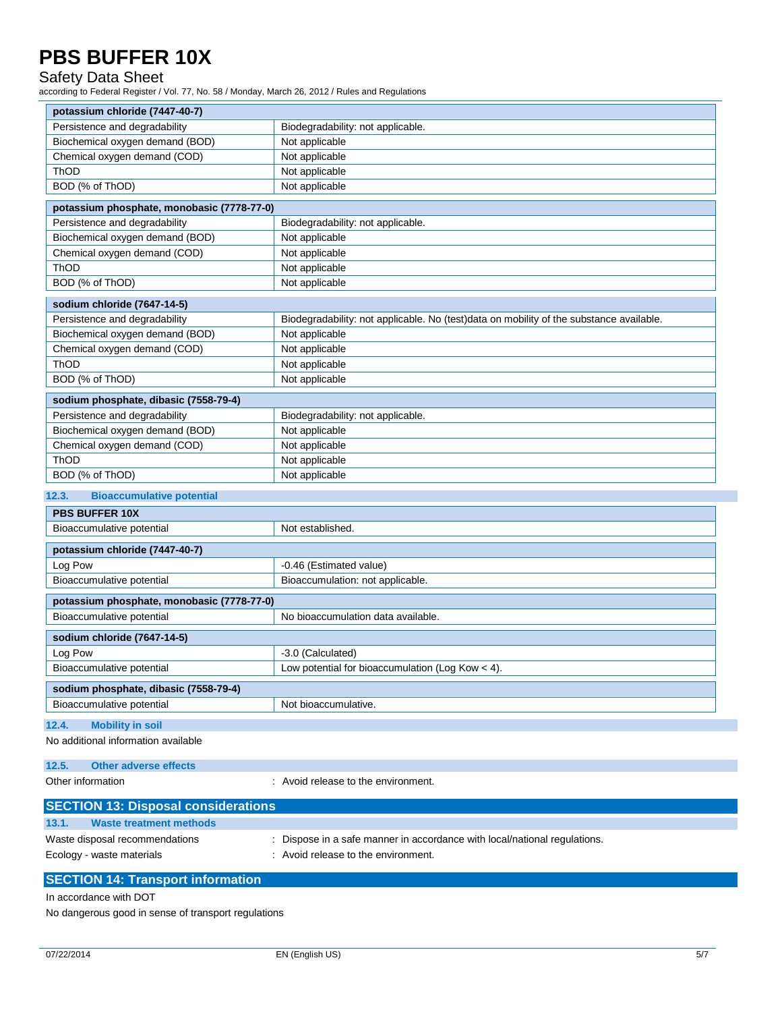### Safety Data Sheet

according to Federal Register / Vol. 77, No. 58 / Monday, March 26, 2012 / Rules and Regulations

| potassium chloride (7447-40-7)             |                                                                                         |  |
|--------------------------------------------|-----------------------------------------------------------------------------------------|--|
| Persistence and degradability              | Biodegradability: not applicable.                                                       |  |
| Biochemical oxygen demand (BOD)            | Not applicable                                                                          |  |
| Chemical oxygen demand (COD)               | Not applicable                                                                          |  |
| ThOD                                       | Not applicable                                                                          |  |
| BOD (% of ThOD)                            | Not applicable                                                                          |  |
| potassium phosphate, monobasic (7778-77-0) |                                                                                         |  |
| Persistence and degradability              | Biodegradability: not applicable.                                                       |  |
| Biochemical oxygen demand (BOD)            | Not applicable                                                                          |  |
| Chemical oxygen demand (COD)               | Not applicable                                                                          |  |
| ThOD                                       | Not applicable                                                                          |  |
| BOD (% of ThOD)                            | Not applicable                                                                          |  |
| sodium chloride (7647-14-5)                |                                                                                         |  |
| Persistence and degradability              | Biodegradability: not applicable. No (test)data on mobility of the substance available. |  |
| Biochemical oxygen demand (BOD)            | Not applicable                                                                          |  |
| Chemical oxygen demand (COD)               | Not applicable                                                                          |  |
| ThOD                                       | Not applicable                                                                          |  |
| BOD (% of ThOD)                            | Not applicable                                                                          |  |
| sodium phosphate, dibasic (7558-79-4)      |                                                                                         |  |
| Persistence and degradability              | Biodegradability: not applicable.                                                       |  |
| Biochemical oxygen demand (BOD)            | Not applicable                                                                          |  |
| Chemical oxygen demand (COD)               | Not applicable                                                                          |  |
| ThOD                                       | Not applicable                                                                          |  |
| BOD (% of ThOD)                            | Not applicable                                                                          |  |
| 12.3.<br><b>Bioaccumulative potential</b>  |                                                                                         |  |
| <b>PBS BUFFER 10X</b>                      |                                                                                         |  |
| Bioaccumulative potential                  | Not established.                                                                        |  |
| potassium chloride (7447-40-7)             |                                                                                         |  |
| Log Pow                                    | -0.46 (Estimated value)                                                                 |  |
| Bioaccumulative potential                  | Bioaccumulation: not applicable.                                                        |  |
| potassium phosphate, monobasic (7778-77-0) |                                                                                         |  |
| Bioaccumulative potential                  | No bioaccumulation data available.                                                      |  |
| sodium chloride (7647-14-5)                |                                                                                         |  |
| Log Pow                                    | -3.0 (Calculated)                                                                       |  |
| Bioaccumulative potential                  | Low potential for bioaccumulation (Log Kow $<$ 4).                                      |  |
| sodium phosphate, dibasic (7558-79-4)      |                                                                                         |  |
| Bioaccumulative potential                  | Not bioaccumulative.                                                                    |  |
| <b>Mobility in soil</b><br>12.4.           |                                                                                         |  |
| No additional information available        |                                                                                         |  |
| 12.5.<br><b>Other adverse effects</b>      |                                                                                         |  |
| Other information                          | : Avoid release to the environment.                                                     |  |
|                                            |                                                                                         |  |

| <b>SECTION 13: Disposal considerations</b> |                                                                           |
|--------------------------------------------|---------------------------------------------------------------------------|
| 13.1.<br>Waste treatment methods           |                                                                           |
| Waste disposal recommendations             | : Dispose in a safe manner in accordance with local/national regulations. |
| Ecology - waste materials                  | : Avoid release to the environment.                                       |
| <b>SECTION 14: Transport information</b>   |                                                                           |

In accordance with DOT

No dangerous good in sense of transport regulations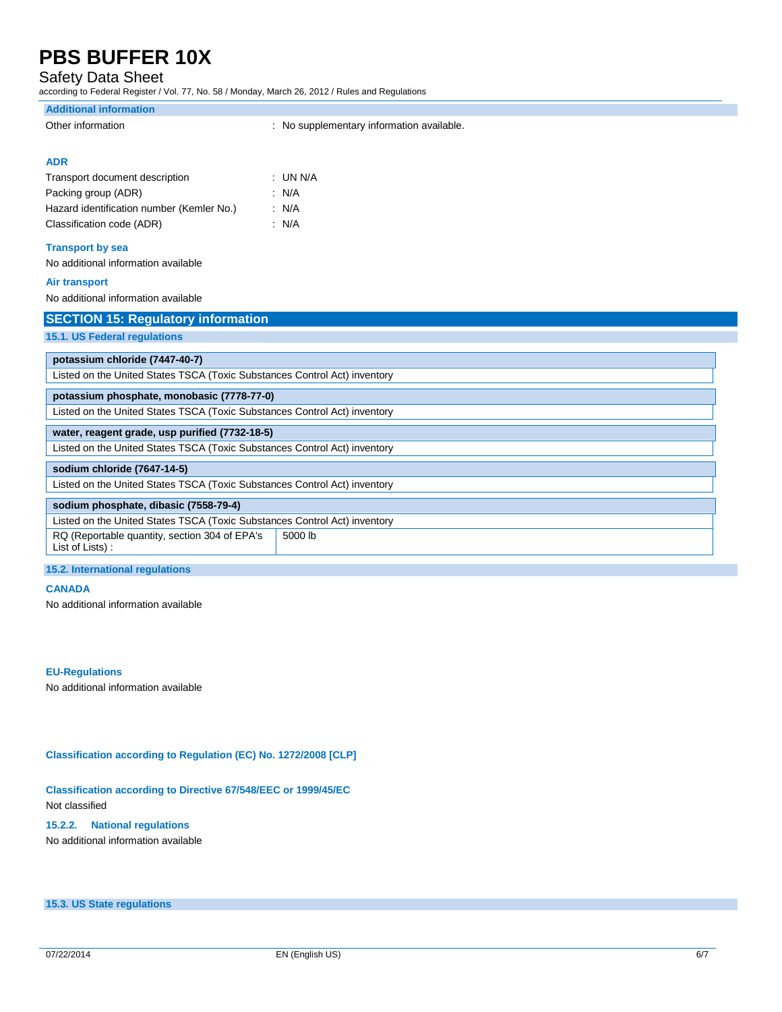### Safety Data Sheet

according to Federal Register / Vol. 77, No. 58 / Monday, March 26, 2012 / Rules and Regulations

| <b>Additional information</b>                                             |                                           |  |
|---------------------------------------------------------------------------|-------------------------------------------|--|
| Other information                                                         | : No supplementary information available. |  |
|                                                                           |                                           |  |
| <b>ADR</b>                                                                |                                           |  |
| Transport document description                                            | : UN N/A                                  |  |
| Packing group (ADR)                                                       | : $N/A$                                   |  |
| Hazard identification number (Kemler No.)                                 | : N/A                                     |  |
| Classification code (ADR)                                                 | : N/A                                     |  |
| <b>Transport by sea</b>                                                   |                                           |  |
| No additional information available                                       |                                           |  |
| <b>Air transport</b>                                                      |                                           |  |
| No additional information available                                       |                                           |  |
| <b>SECTION 15: Regulatory information</b>                                 |                                           |  |
| 15.1. US Federal regulations                                              |                                           |  |
| potassium chloride (7447-40-7)                                            |                                           |  |
| Listed on the United States TSCA (Toxic Substances Control Act) inventory |                                           |  |
| potassium phosphate, monobasic (7778-77-0)                                |                                           |  |
| Listed on the United States TSCA (Toxic Substances Control Act) inventory |                                           |  |
| water, reagent grade, usp purified (7732-18-5)                            |                                           |  |
| Listed on the United States TSCA (Toxic Substances Control Act) inventory |                                           |  |
| sodium chloride (7647-14-5)                                               |                                           |  |
| Listed on the United States TSCA (Toxic Substances Control Act) inventory |                                           |  |
| sodium phosphate, dibasic (7558-79-4)                                     |                                           |  |
| Listed on the United States TSCA (Toxic Substances Control Act) inventory |                                           |  |
| RQ (Reportable quantity, section 304 of EPA's<br>List of Lists) :         | 5000 lb                                   |  |
| 15.2. International regulations                                           |                                           |  |

#### **CANADA**

No additional information available

#### **EU-Regulations**

No additional information available

#### **Classification according to Regulation (EC) No. 1272/2008 [CLP]**

#### **Classification according to Directive 67/548/EEC or 1999/45/EC** Not classified

**15.2.2. National regulations** No additional information available

**15.3. US State regulations**